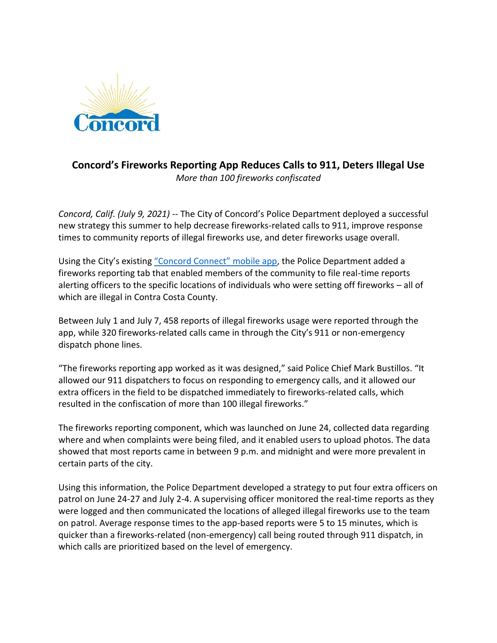

## **Concord's Fireworks Reporting App Reduces Calls to 911, Deters Illegal Use** *More than 100 fireworks confiscated*

*Concord, Calif. (July 9, 2021)* -- The City of Concord's Police Department deployed a successful new strategy this summer to help decrease fireworks-related calls to 911, improve response times to community reports of illegal fireworks use, and deter fireworks usage overall.

Using the City's existing ["Concord Connect" mobile app](http://cityofconcord.org/199/Concord-Connect---Mobile-App), the Police Department added a fireworks reporting tab that enabled members of the community to file real-time reports alerting officers to the specific locations of individuals who were setting off fireworks – all of which are illegal in Contra Costa County.

Between July 1 and July 7, 458 reports of illegal fireworks usage were reported through the app, while 320 fireworks-related calls came in through the City's 911 or non-emergency dispatch phone lines.

"The fireworks reporting app worked as it was designed," said Police Chief Mark Bustillos. "It allowed our 911 dispatchers to focus on responding to emergency calls, and it allowed our extra officers in the field to be dispatched immediately to fireworks-related calls, which resulted in the confiscation of more than 100 illegal fireworks."

The fireworks reporting component, which was launched on June 24, collected data regarding where and when complaints were being filed, and it enabled users to upload photos. The data showed that most reports came in between 9 p.m. and midnight and were more prevalent in certain parts of the city.

Using this information, the Police Department developed a strategy to put four extra officers on patrol on June 24-27 and July 2-4. A supervising officer monitored the real-time reports as they were logged and then communicated the locations of alleged illegal fireworks use to the team on patrol. Average response times to the app-based reports were 5 to 15 minutes, which is quicker than a fireworks-related (non-emergency) call being routed through 911 dispatch, in which calls are prioritized based on the level of emergency.